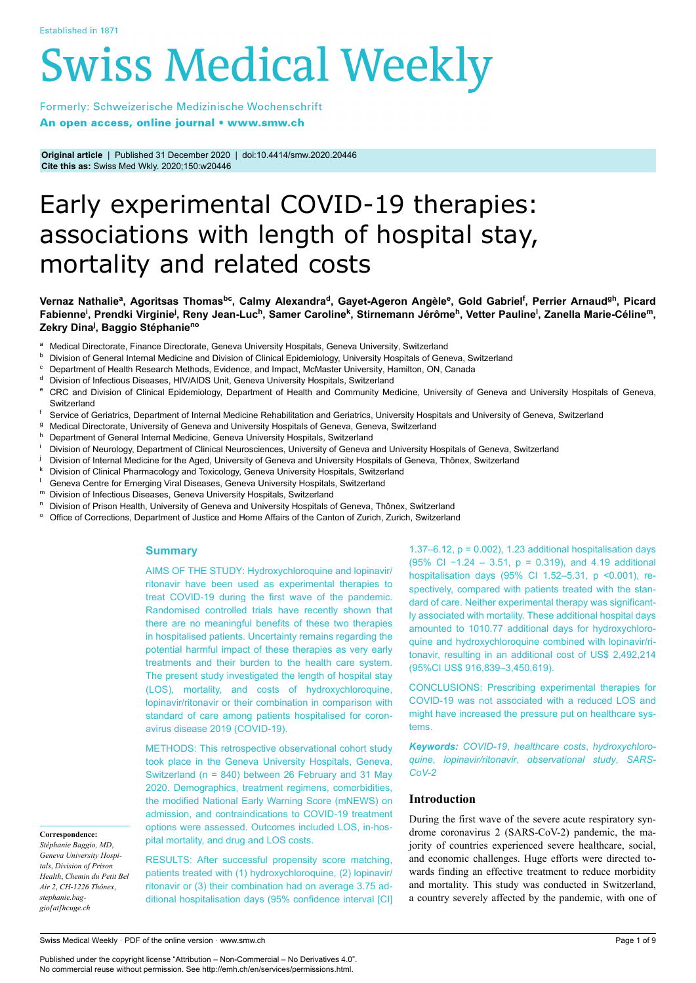# **Swiss Medical Weekly**

Formerly: Schweizerische Medizinische Wochenschrift An open access, online journal • www.smw.ch

**Original article** | Published 31 December 2020 | doi:10.4414/smw.2020.20446 **Cite this as:** Swiss Med Wkly. 2020;150:w20446

# Early experimental COVID-19 therapies: associations with length of hospital stay, mortality and related costs

# Vernaz Nathalie<sup>a</sup>, Agoritsas Thomas<sup>bc</sup>, Calmy Alexandra<sup>d</sup>, Gayet-Ageron Angèle<sup>e</sup>, Gold Gabriel<sup>f</sup>, Perrier Arnaud<sup>gh</sup>, Picard Fabienne<sup>i</sup>, Prendki Virginie<sup>j</sup>, Reny Jean-Luc<sup>h</sup>, Samer Caroline<sup>k</sup>, Stirnemann Jérôme<sup>h</sup>, Vetter Pauline<sup>l</sup>, Zanella Marie-Céline<sup>m</sup>, **Zekry Dina<sup>j</sup> , Baggio Stéphanieno**

- <sup>a</sup> Medical Directorate, Finance Directorate, Geneva University Hospitals, Geneva University, Switzerland<br><sup>b</sup> Division of Ceneral Internal Medicine and Division of Clinical Enidemialsey, University Hospitals of Cen
- **b** Division of General Internal Medicine and Division of Clinical Epidemiology, University Hospitals of Geneva, Switzerland
- <sup>c</sup> Department of Health Research Methods, Evidence, and Impact, McMaster University, Hamilton, ON, Canada
- <sup>d</sup> Division of Infectious Diseases, HIV/AIDS Unit, Geneva University Hospitals, Switzerland
- <sup>e</sup> CRC and Division of Clinical Epidemiology, Department of Health and Community Medicine, University of Geneva and University Hospitals of Geneva, **Switzerland**
- f Service of Geriatrics, Department of Internal Medicine Rehabilitation and Geriatrics, University Hospitals and University of Geneva, Switzerland
- <sup>g</sup> Medical Directorate, University of Geneva and University Hospitals of Geneva, Geneva, Switzerland
- Department of General Internal Medicine, Geneva University Hospitals, Switzerland
- Division of Neurology, Department of Clinical Neurosciences, University of Geneva and University Hospitals of Geneva, Switzerland
- Division of Internal Medicine for the Aged, University of Geneva and University Hospitals of Geneva, Thônex, Switzerland
- Division of Clinical Pharmacology and Toxicology, Geneva University Hospitals, Switzerland
- <sup>l</sup> Geneva Centre for Emerging Viral Diseases, Geneva University Hospitals, Switzerland
- <sup>m</sup> Division of Infectious Diseases, Geneva University Hospitals, Switzerland
- <sup>n</sup> Division of Prison Health, University of Geneva and University Hospitals of Geneva, Thônex, Switzerland
- Office of Corrections, Department of Justice and Home Affairs of the Canton of Zurich, Zurich, Switzerland

# **Summary**

AIMS OF THE STUDY: Hydroxychloroquine and lopinavir/ ritonavir have been used as experimental therapies to treat COVID-19 during the first wave of the pandemic. Randomised controlled trials have recently shown that there are no meaningful benefits of these two therapies in hospitalised patients. Uncertainty remains regarding the potential harmful impact of these therapies as very early treatments and their burden to the health care system. The present study investigated the length of hospital stay (LOS), mortality, and costs of hydroxychloroquine, lopinavir/ritonavir or their combination in comparison with standard of care among patients hospitalised for coronavirus disease 2019 (COVID-19).

METHODS: This retrospective observational cohort study took place in the Geneva University Hospitals, Geneva, Switzerland (n = 840) between 26 February and 31 May 2020. Demographics, treatment regimens, comorbidities, the modified National Early Warning Score (mNEWS) on admission, and contraindications to COVID-19 treatment options were assessed. Outcomes included LOS, in-hospital mortality, and drug and LOS costs.

*Stéphanie Baggio, MD*, *Geneva University Hospitals*, *Division of Prison Health*, *Chemin du Petit Bel Air 2*, *CH-1226 Thônex*, *stephanie.baggio[at]hcuge.ch*

**Correspondence:**

RESULTS: After successful propensity score matching, patients treated with (1) hydroxychloroquine, (2) lopinavir/ ritonavir or (3) their combination had on average 3.75 additional hospitalisation days (95% confidence interval [CI] 1.37–6.12,  $p = 0.002$ ), 1.23 additional hospitalisation days (95% CI −1.24 – 3.51, p = 0.319), and 4.19 additional hospitalisation days (95% CI 1.52–5.31, p <0.001), respectively, compared with patients treated with the standard of care. Neither experimental therapy was significantly associated with mortality. These additional hospital days amounted to 1010.77 additional days for hydroxychloroquine and hydroxychloroquine combined with lopinavir/ritonavir, resulting in an additional cost of US\$ 2,492,214 (95%CI US\$ 916,839–3,450,619).

CONCLUSIONS: Prescribing experimental therapies for COVID-19 was not associated with a reduced LOS and might have increased the pressure put on healthcare systems.

*Keywords: COVID-19*, *healthcare costs*, *hydroxychloroquine*, *lopinavir/ritonavir*, *observational study*, *SARS-CoV-2*

# **Introduction**

During the first wave of the severe acute respiratory syndrome coronavirus 2 (SARS-CoV-2) pandemic, the majority of countries experienced severe healthcare, social, and economic challenges. Huge efforts were directed towards finding an effective treatment to reduce morbidity and mortality. This study was conducted in Switzerland, a country severely affected by the pandemic, with one of

Swiss Medical Weekly · PDF of the online version · www.smw.ch

Published under the copyright license "Attribution – Non-Commercial – No Derivatives 4.0". No commercial reuse without permission. See http://emh.ch/en/services/permissions.html.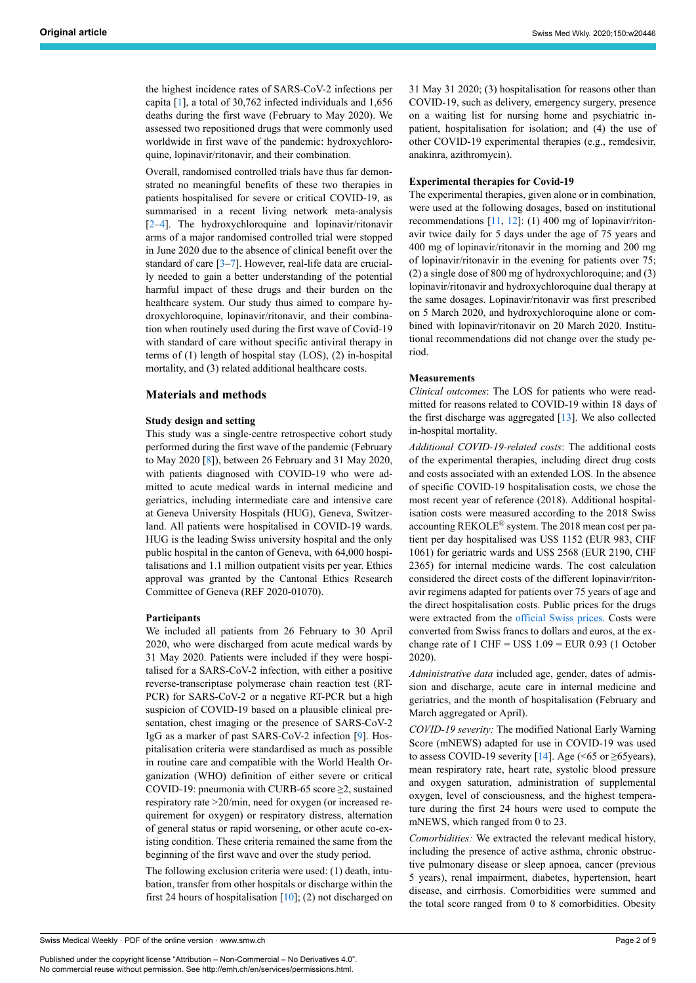the highest incidence rates of SARS-CoV-2 infections per capita [[1](#page-7-0)], a total of 30,762 infected individuals and 1,656 deaths during the first wave (February to May 2020). We assessed two repositioned drugs that were commonly used worldwide in first wave of the pandemic: hydroxychloroquine, lopinavir/ritonavir, and their combination.

Overall, randomised controlled trials have thus far demonstrated no meaningful benefits of these two therapies in patients hospitalised for severe or critical COVID-19, as summarised in a recent living network meta-analysis [[2](#page-7-1)–[4](#page-7-2)]. The hydroxychloroquine and lopinavir/ritonavir arms of a major randomised controlled trial were stopped in June 2020 due to the absence of clinical benefit over the standard of care [\[3–](#page-7-3)[7\]](#page-7-4). However, real-life data are crucially needed to gain a better understanding of the potential harmful impact of these drugs and their burden on the healthcare system. Our study thus aimed to compare hydroxychloroquine, lopinavir/ritonavir, and their combination when routinely used during the first wave of Covid-19 with standard of care without specific antiviral therapy in terms of (1) length of hospital stay (LOS), (2) in-hospital mortality, and (3) related additional healthcare costs.

## **Materials and methods**

#### **Study design and setting**

This study was a single-centre retrospective cohort study performed during the first wave of the pandemic (February to May 2020 [\[8\]](#page-7-5)), between 26 February and 31 May 2020, with patients diagnosed with COVID-19 who were admitted to acute medical wards in internal medicine and geriatrics, including intermediate care and intensive care at Geneva University Hospitals (HUG), Geneva, Switzerland. All patients were hospitalised in COVID-19 wards. HUG is the leading Swiss university hospital and the only public hospital in the canton of Geneva, with 64,000 hospitalisations and 1.1 million outpatient visits per year. Ethics approval was granted by the Cantonal Ethics Research Committee of Geneva (REF 2020-01070).

# **Participants**

We included all patients from 26 February to 30 April 2020, who were discharged from acute medical wards by 31 May 2020. Patients were included if they were hospitalised for a SARS-CoV-2 infection, with either a positive reverse-transcriptase polymerase chain reaction test (RT-PCR) for SARS-CoV-2 or a negative RT-PCR but a high suspicion of COVID-19 based on a plausible clinical presentation, chest imaging or the presence of SARS-CoV-2 IgG as a marker of past SARS-CoV-2 infection [[9](#page-7-6)]. Hospitalisation criteria were standardised as much as possible in routine care and compatible with the World Health Organization (WHO) definition of either severe or critical COVID-19: pneumonia with CURB-65 score ≥2, sustained respiratory rate >20/min, need for oxygen (or increased requirement for oxygen) or respiratory distress, alternation of general status or rapid worsening, or other acute co-existing condition. These criteria remained the same from the beginning of the first wave and over the study period.

The following exclusion criteria were used: (1) death, intubation, transfer from other hospitals or discharge within the first 24 hours of hospitalisation  $[10]$  $[10]$ ; (2) not discharged on 31 May 31 2020; (3) hospitalisation for reasons other than COVID-19, such as delivery, emergency surgery, presence on a waiting list for nursing home and psychiatric inpatient, hospitalisation for isolation; and (4) the use of other COVID-19 experimental therapies (e.g., remdesivir, anakinra, azithromycin).

#### **Experimental therapies for Covid-19**

The experimental therapies, given alone or in combination, were used at the following dosages, based on institutional recommendations [\[11,](#page-7-8) [12\]](#page-7-9): (1) 400 mg of lopinavir/ritonavir twice daily for 5 days under the age of 75 years and 400 mg of lopinavir/ritonavir in the morning and 200 mg of lopinavir/ritonavir in the evening for patients over 75; (2) a single dose of 800 mg of hydroxychloroquine; and (3) lopinavir/ritonavir and hydroxychloroquine dual therapy at the same dosages. Lopinavir/ritonavir was first prescribed on 5 March 2020, and hydroxychloroquine alone or combined with lopinavir/ritonavir on 20 March 2020. Institutional recommendations did not change over the study period.

# **Measurements**

*Clinical outcomes*: The LOS for patients who were readmitted for reasons related to COVID-19 within 18 days of the first discharge was aggregated  $[13]$  $[13]$ . We also collected in-hospital mortality.

*Additional COVID-19-related costs*: The additional costs of the experimental therapies, including direct drug costs and costs associated with an extended LOS. In the absence of specific COVID-19 hospitalisation costs, we chose the most recent year of reference (2018). Additional hospitalisation costs were measured according to the 2018 Swiss accounting REKOLE® system. The 2018 mean cost per patient per day hospitalised was US\$ 1152 (EUR 983, CHF 1061) for geriatric wards and US\$ 2568 (EUR 2190, CHF 2365) for internal medicine wards. The cost calculation considered the direct costs of the different lopinavir/ritonavir regimens adapted for patients over 75 years of age and the direct hospitalisation costs. Public prices for the drugs were extracted from the [official Swiss prices](http://www.listedesspecialites.ch/). Costs were converted from Swiss francs to dollars and euros, at the exchange rate of 1 CHF = US\$  $1.09$  = EUR 0.93 (1 October 2020).

*Administrative data* included age, gender, dates of admission and discharge, acute care in internal medicine and geriatrics, and the month of hospitalisation (February and March aggregated or April).

*COVID-19 severity:* The modified National Early Warning Score (mNEWS) adapted for use in COVID-19 was used to assess COVID-19 severity [\[14](#page-7-11)]. Age (<65 or  $\geq$ 65years), mean respiratory rate, heart rate, systolic blood pressure and oxygen saturation, administration of supplemental oxygen, level of consciousness, and the highest temperature during the first 24 hours were used to compute the mNEWS, which ranged from 0 to 23.

*Comorbidities:* We extracted the relevant medical history, including the presence of active asthma, chronic obstructive pulmonary disease or sleep apnoea, cancer (previous 5 years), renal impairment, diabetes, hypertension, heart disease, and cirrhosis. Comorbidities were summed and the total score ranged from 0 to 8 comorbidities. Obesity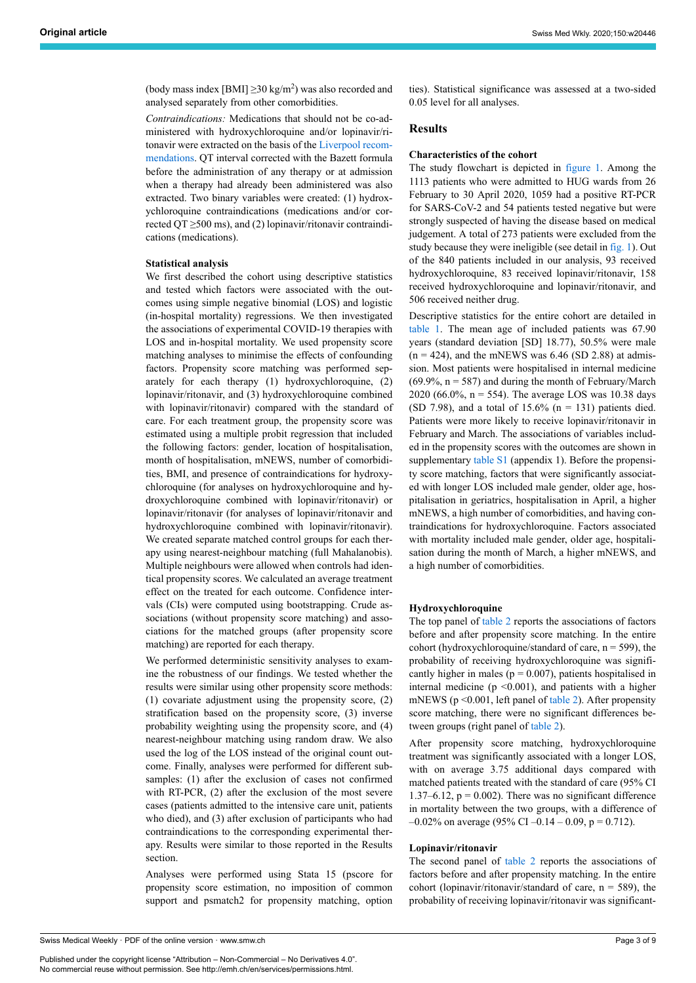(body mass index [BMI]  $\geq$ 30 kg/m<sup>2</sup>) was also recorded and analysed separately from other comorbidities.

*Contraindications:* Medications that should not be co-administered with hydroxychloroquine and/or lopinavir/ritonavir were extracted on the basis of the [Liverpool recom](https://www.covid19-druginteractions.org/checker)[mendations](https://www.covid19-druginteractions.org/checker). QT interval corrected with the Bazett formula before the administration of any therapy or at admission when a therapy had already been administered was also extracted. Two binary variables were created: (1) hydroxychloroquine contraindications (medications and/or corrected QT  $\geq$ 500 ms), and (2) lopinavir/ritonavir contraindications (medications).

#### **Statistical analysis**

We first described the cohort using descriptive statistics and tested which factors were associated with the outcomes using simple negative binomial (LOS) and logistic (in-hospital mortality) regressions. We then investigated the associations of experimental COVID-19 therapies with LOS and in-hospital mortality. We used propensity score matching analyses to minimise the effects of confounding factors. Propensity score matching was performed separately for each therapy (1) hydroxychloroquine, (2) lopinavir/ritonavir, and (3) hydroxychloroquine combined with lopinavir/ritonavir) compared with the standard of care. For each treatment group, the propensity score was estimated using a multiple probit regression that included the following factors: gender, location of hospitalisation, month of hospitalisation, mNEWS, number of comorbidities, BMI, and presence of contraindications for hydroxychloroquine (for analyses on hydroxychloroquine and hydroxychloroquine combined with lopinavir/ritonavir) or lopinavir/ritonavir (for analyses of lopinavir/ritonavir and hydroxychloroquine combined with lopinavir/ritonavir). We created separate matched control groups for each therapy using nearest-neighbour matching (full Mahalanobis). Multiple neighbours were allowed when controls had identical propensity scores. We calculated an average treatment effect on the treated for each outcome. Confidence intervals (CIs) were computed using bootstrapping. Crude associations (without propensity score matching) and associations for the matched groups (after propensity score matching) are reported for each therapy.

We performed deterministic sensitivity analyses to examine the robustness of our findings. We tested whether the results were similar using other propensity score methods: (1) covariate adjustment using the propensity score, (2) stratification based on the propensity score, (3) inverse probability weighting using the propensity score, and (4) nearest-neighbour matching using random draw. We also used the log of the LOS instead of the original count outcome. Finally, analyses were performed for different subsamples: (1) after the exclusion of cases not confirmed with RT-PCR, (2) after the exclusion of the most severe cases (patients admitted to the intensive care unit, patients who died), and (3) after exclusion of participants who had contraindications to the corresponding experimental therapy. Results were similar to those reported in the Results section.

Analyses were performed using Stata 15 (pscore for propensity score estimation, no imposition of common support and psmatch2 for propensity matching, option ties). Statistical significance was assessed at a two-sided 0.05 level for all analyses.

#### **Results**

# **Characteristics of the cohort**

The study flowchart is depicted in [figure 1.](#page-3-0) Among the 1113 patients who were admitted to HUG wards from 26 February to 30 April 2020, 1059 had a positive RT-PCR for SARS-CoV-2 and 54 patients tested negative but were strongly suspected of having the disease based on medical judgement. A total of 273 patients were excluded from the study because they were ineligible (see detail in [fig. 1\)](#page-3-0). Out of the 840 patients included in our analysis, 93 received hydroxychloroquine, 83 received lopinavir/ritonavir, 158 received hydroxychloroquine and lopinavir/ritonavir, and 506 received neither drug.

Descriptive statistics for the entire cohort are detailed in [table 1.](#page-4-0) The mean age of included patients was 67.90 years (standard deviation [SD] 18.77), 50.5% were male  $(n = 424)$ , and the mNEWS was 6.46 (SD 2.88) at admission. Most patients were hospitalised in internal medicine  $(69.9\%, n = 587)$  and during the month of February/March 2020 (66.0%, n = 554). The average LOS was 10.38 days (SD 7.98), and a total of 15.6% ( $n = 131$ ) patients died. Patients were more likely to receive lopinavir/ritonavir in February and March. The associations of variables included in the propensity scores with the outcomes are shown in supplementary [table S1](#page-8-0) (appendix 1). Before the propensity score matching, factors that were significantly associated with longer LOS included male gender, older age, hospitalisation in geriatrics, hospitalisation in April, a higher mNEWS, a high number of comorbidities, and having contraindications for hydroxychloroquine. Factors associated with mortality included male gender, older age, hospitalisation during the month of March, a higher mNEWS, and a high number of comorbidities.

#### **Hydroxychloroquine**

The top panel of [table 2](#page-5-0) reports the associations of factors before and after propensity score matching. In the entire cohort (hydroxychloroquine/standard of care,  $n = 599$ ), the probability of receiving hydroxychloroquine was significantly higher in males ( $p = 0.007$ ), patients hospitalised in internal medicine ( $p \le 0.001$ ), and patients with a higher mNEWS ( $p \le 0.001$ , left panel of [table 2](#page-5-0)). After propensity score matching, there were no significant differences between groups (right panel of [table 2\)](#page-5-0).

After propensity score matching, hydroxychloroquine treatment was significantly associated with a longer LOS, with on average 3.75 additional days compared with matched patients treated with the standard of care (95% CI 1.37–6.12,  $p = 0.002$ ). There was no significant difference in mortality between the two groups, with a difference of  $-0.02\%$  on average (95% CI –0.14 – 0.09, p = 0.712).

# **Lopinavir/ritonavir**

The second panel of [table 2](#page-5-0) reports the associations of factors before and after propensity matching. In the entire cohort (lopinavir/ritonavir/standard of care,  $n = 589$ ), the probability of receiving lopinavir/ritonavir was significant-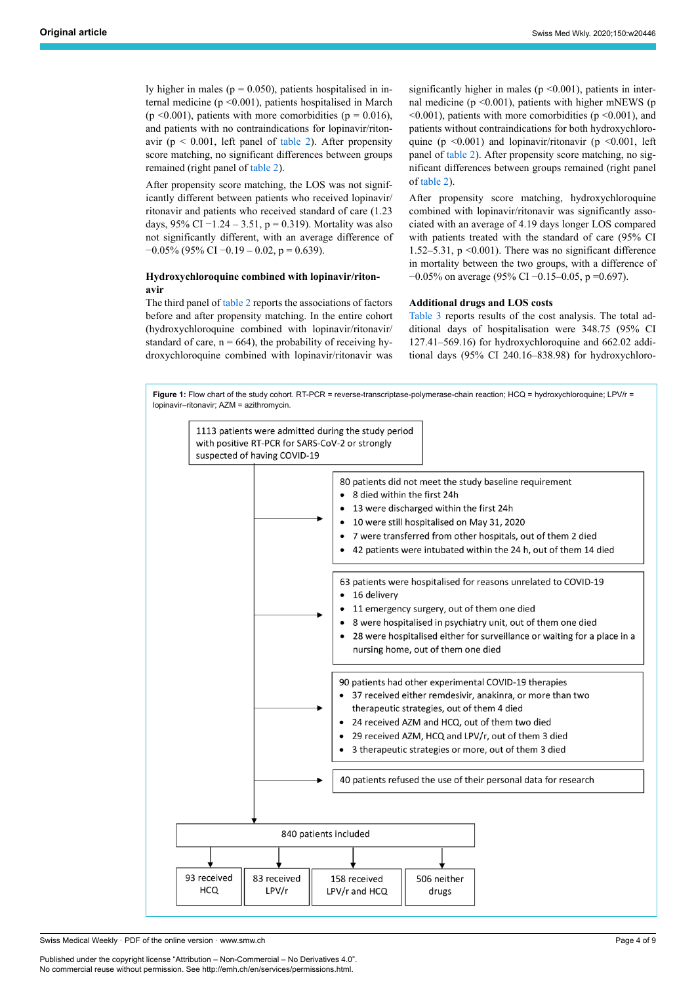ly higher in males ( $p = 0.050$ ), patients hospitalised in internal medicine (p <0.001), patients hospitalised in March (p <0.001), patients with more comorbidities (p =  $0.016$ ), and patients with no contraindications for lopinavir/ritonavir ( $p < 0.001$ , left panel of [table 2\)](#page-5-0). After propensity score matching, no significant differences between groups remained (right panel of [table 2](#page-5-0)).

After propensity score matching, the LOS was not significantly different between patients who received lopinavir/ ritonavir and patients who received standard of care (1.23 days, 95% CI −1.24 – 3.51, p = 0.319). Mortality was also not significantly different, with an average difference of  $-0.05\%$  (95% CI  $-0.19 - 0.02$ , p = 0.639).

# **Hydroxychloroquine combined with lopinavir/ritonavir**

The third panel of [table 2](#page-5-0) reports the associations of factors before and after propensity matching. In the entire cohort (hydroxychloroquine combined with lopinavir/ritonavir/ standard of care,  $n = 664$ ), the probability of receiving hydroxychloroquine combined with lopinavir/ritonavir was significantly higher in males ( $p \le 0.001$ ), patients in internal medicine ( $p \le 0.001$ ), patients with higher mNEWS ( $p$  $\leq 0.001$ ), patients with more comorbidities (p $\leq 0.001$ ), and patients without contraindications for both hydroxychloroquine (p  $\leq 0.001$ ) and lopinavir/ritonavir (p  $\leq 0.001$ , left panel of [table 2\)](#page-5-0). After propensity score matching, no significant differences between groups remained (right panel of [table 2](#page-5-0)).

After propensity score matching, hydroxychloroquine combined with lopinavir/ritonavir was significantly associated with an average of 4.19 days longer LOS compared with patients treated with the standard of care (95% CI 1.52–5.31,  $p \le 0.001$ ). There was no significant difference in mortality between the two groups, with a difference of −0.05% on average (95% CI −0.15–0.05, p =0.697).

## **Additional drugs and LOS costs**

[Table 3](#page-5-1) reports results of the cost analysis. The total additional days of hospitalisation were 348.75 (95% CI 127.41–569.16) for hydroxychloroquine and 662.02 additional days (95% CI 240.16–838.98) for hydroxychloro-

**Figure 1:** Flow chart of the study cohort. RT-PCR = reverse-transcriptase-polymerase-chain reaction: HCQ = hydroxychloroquine; LPV/r = lopinavir–ritonavir; AZM = azithromycin.

<span id="page-3-0"></span>

Swiss Medical Weekly · PDF of the online version · www.smw.ch

Published under the copyright license "Attribution – Non-Commercial – No Derivatives 4.0". No commercial reuse without permission. See http://emh.ch/en/services/permissions.html.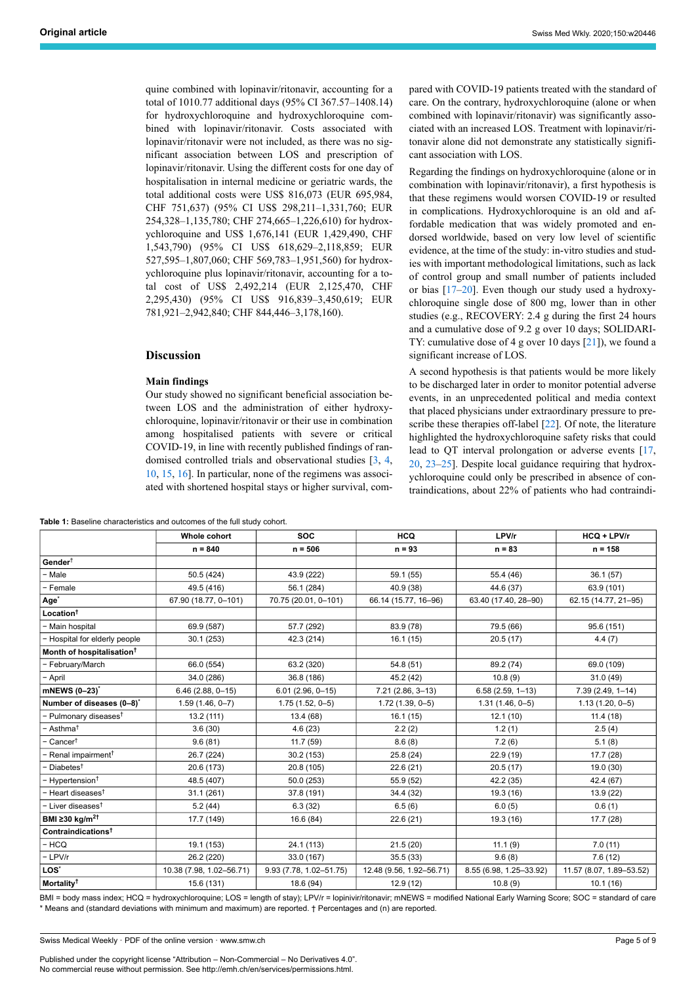quine combined with lopinavir/ritonavir, accounting for a total of 1010.77 additional days (95% CI 367.57–1408.14) for hydroxychloroquine and hydroxychloroquine combined with lopinavir/ritonavir. Costs associated with lopinavir/ritonavir were not included, as there was no significant association between LOS and prescription of lopinavir/ritonavir. Using the different costs for one day of hospitalisation in internal medicine or geriatric wards, the total additional costs were US\$ 816,073 (EUR 695,984, CHF 751,637) (95% CI US\$ 298,211–1,331,760; EUR 254,328–1,135,780; CHF 274,665–1,226,610) for hydroxychloroquine and US\$ 1,676,141 (EUR 1,429,490, CHF 1,543,790) (95% CI US\$ 618,629–2,118,859; EUR 527,595–1,807,060; CHF 569,783–1,951,560) for hydroxychloroquine plus lopinavir/ritonavir, accounting for a total cost of US\$ 2,492,214 (EUR 2,125,470, CHF 2,295,430) (95% CI US\$ 916,839–3,450,619; EUR 781,921–2,942,840; CHF 844,446–3,178,160).

# **Discussion**

#### **Main findings**

Our study showed no significant beneficial association between LOS and the administration of either hydroxychloroquine, lopinavir/ritonavir or their use in combination among hospitalised patients with severe or critical COVID-19, in line with recently published findings of randomised controlled trials and observational studies [\[3,](#page-7-3) [4,](#page-7-2) [10,](#page-7-7) [15](#page-7-12), [16\]](#page-7-13). In particular, none of the regimens was associated with shortened hospital stays or higher survival, com-

<span id="page-4-0"></span>**Table 1:** Baseline characteristics and outcomes of the full study cohort.

pared with COVID-19 patients treated with the standard of care. On the contrary, hydroxychloroquine (alone or when combined with lopinavir/ritonavir) was significantly associated with an increased LOS. Treatment with lopinavir/ritonavir alone did not demonstrate any statistically significant association with LOS.

Regarding the findings on hydroxychloroquine (alone or in combination with lopinavir/ritonavir), a first hypothesis is that these regimens would worsen COVID-19 or resulted in complications. Hydroxychloroquine is an old and affordable medication that was widely promoted and endorsed worldwide, based on very low level of scientific evidence, at the time of the study: in-vitro studies and studies with important methodological limitations, such as lack of control group and small number of patients included or bias [[17–](#page-7-14)[20](#page-7-15)]. Even though our study used a hydroxychloroquine single dose of 800 mg, lower than in other studies (e.g., RECOVERY: 2.4 g during the first 24 hours and a cumulative dose of 9.2 g over 10 days; SOLIDARI-TY: cumulative dose of 4 g over 10 days [[21\]](#page-7-16)), we found a significant increase of LOS.

A second hypothesis is that patients would be more likely to be discharged later in order to monitor potential adverse events, in an unprecedented political and media context that placed physicians under extraordinary pressure to prescribe these therapies off-label [\[22](#page-7-17)]. Of note, the literature highlighted the hydroxychloroquine safety risks that could lead to QT interval prolongation or adverse events [\[17](#page-7-14), [20](#page-7-15), [23](#page-7-18)–[25\]](#page-7-19). Despite local guidance requiring that hydroxychloroquine could only be prescribed in absence of contraindications, about 22% of patients who had contraindi-

|                                       | <b>Whole cohort</b>      | <b>SOC</b>              | <b>HCQ</b>               | LPV/r                   | $HCO + LPV/r$            |
|---------------------------------------|--------------------------|-------------------------|--------------------------|-------------------------|--------------------------|
|                                       | $n = 840$                | $n = 506$               | $n = 93$                 | $n = 83$                | $n = 158$                |
| Gender <sup>†</sup>                   |                          |                         |                          |                         |                          |
| - Male                                | 50.5 (424)               | 43.9 (222)              | 59.1 (55)                | 55.4 (46)               | 36.1(57)                 |
| - Female                              | 49.5 (416)               | 56.1 (284)              | 40.9 (38)                | 44.6 (37)               | 63.9 (101)               |
| Age <sup>*</sup>                      | 67.90 (18.77, 0-101)     | 70.75 (20.01, 0-101)    | 66.14 (15.77, 16-96)     | 63.40 (17.40, 28-90)    | 62.15 (14.77, 21-95)     |
| Location <sup>†</sup>                 |                          |                         |                          |                         |                          |
| - Main hospital                       | 69.9 (587)               | 57.7 (292)              | 83.9 (78)                | 79.5 (66)               | 95.6 (151)               |
| - Hospital for elderly people         | 30.1 (253)               | 42.3 (214)              | 16.1(15)                 | 20.5(17)                | 4.4(7)                   |
| Month of hospitalisation <sup>†</sup> |                          |                         |                          |                         |                          |
| - February/March                      | 66.0 (554)               | 63.2 (320)              | 54.8 (51)                | 89.2 (74)               | 69.0 (109)               |
| - April                               | 34.0 (286)               | 36.8 (186)              | 45.2 (42)                | 10.8(9)                 | 31.0(49)                 |
| mNEWS (0-23) <sup>*</sup>             | $6.46(2.88, 0-15)$       | $6.01(2.96, 0-15)$      | $7.21(2.86, 3-13)$       | $6.58(2.59, 1-13)$      | $7.39(2.49, 1 - 14)$     |
| Number of diseases (0-8)*             | $1.59(1.46, 0 - 7)$      | $1.75(1.52, 0-5)$       | $1.72(1.39, 0-5)$        | $1.31(1.46, 0-5)$       | $1.13(1.20, 0-5)$        |
| − Pulmonary diseases <sup>†</sup>     | 13.2 (111)               | 13.4 (68)               | 16.1(15)                 | 12.1(10)                | 11.4(18)                 |
| – Asthma <sup>†</sup>                 | 3.6(30)                  | 4.6(23)                 | 2.2(2)                   | 1.2(1)                  | 2.5(4)                   |
| Cancer <sup>†</sup>                   | 9.6(81)                  | 11.7(59)                | 8.6(8)                   | 7.2(6)                  | 5.1(8)                   |
| - Renal impairment <sup>†</sup>       | 26.7 (224)               | 30.2(153)               | 25.8 (24)                | 22.9 (19)               | 17.7 (28)                |
| - Diabetes <sup>†</sup>               | 20.6 (173)               | 20.8 (105)              | 22.6(21)                 | 20.5(17)                | 19.0 (30)                |
| - Hypertension <sup>†</sup>           | 48.5 (407)               | 50.0 (253)              | 55.9 (52)                | 42.2 (35)               | 42.4 (67)                |
| – Heart diseases $^\dagger$           | 31.1(261)                | 37.8 (191)              | 34.4 (32)                | 19.3 (16)               | 13.9 (22)                |
| - Liver diseases <sup>†</sup>         | 5.2(44)                  | 6.3(32)                 | 6.5(6)                   | 6.0(5)                  | 0.6(1)                   |
| BMI $\geq$ 30 kg/m <sup>2†</sup>      | 17.7 (149)               | 16.6(84)                | 22.6 (21)                | 19.3 (16)               | 17.7 (28)                |
| Contraindications <sup>†</sup>        |                          |                         |                          |                         |                          |
| - HCQ                                 | 19.1 (153)               | 24.1 (113)              | 21.5(20)                 | 11.1(9)                 | 7.0(11)                  |
| - LPV/r                               | 26.2 (220)               | 33.0 (167)              | 35.5 (33)                | 9.6(8)                  | 7.6(12)                  |
| LOS <sup>*</sup>                      | 10.38 (7.98, 1.02-56.71) | 9.93 (7.78, 1.02-51.75) | 12.48 (9.56, 1.92-56.71) | 8.55 (6.98, 1.25-33.92) | 11.57 (8.07, 1.89-53.52) |
| Mortality <sup>†</sup>                | 15.6 (131)               | 18.6 (94)               | 12.9 (12)                | 10.8(9)                 | 10.1(16)                 |

BMI = body mass index; HCQ = hydroxychloroquine; LOS = length of stay); LPV/r = lopinivir/ritonavir; mNEWS = modified National Early Warning Score; SOC = standard of care \* Means and (standard deviations with minimum and maximum) are reported. † Percentages and (n) are reported.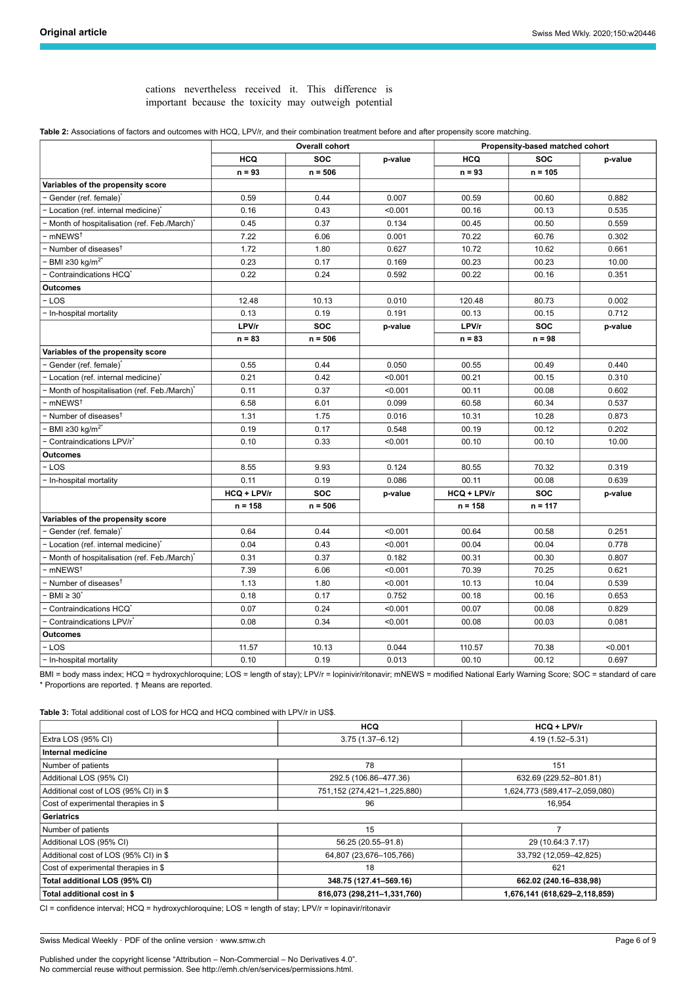cations nevertheless received it. This difference is important because the toxicity may outweigh potential

<span id="page-5-0"></span>

| Table 2: Associations of factors and outcomes with HCQ, LPV/r, and their combination treatment before and after propensity score matching. |
|--------------------------------------------------------------------------------------------------------------------------------------------|
|                                                                                                                                            |

|                                             | <b>Overall cohort</b> |            |         | Propensity-based matched cohort |            |         |  |
|---------------------------------------------|-----------------------|------------|---------|---------------------------------|------------|---------|--|
|                                             | <b>HCQ</b>            | <b>SOC</b> | p-value | <b>HCQ</b>                      | <b>SOC</b> | p-value |  |
|                                             | $n = 93$              | $n = 506$  |         | $n = 93$                        | $n = 105$  |         |  |
| Variables of the propensity score           |                       |            |         |                                 |            |         |  |
| Gender (ref. female)                        | 0.59                  | 0.44       | 0.007   | 00.59                           | 00.60      | 0.882   |  |
| Location (ref. internal medicine)           | 0.16                  | 0.43       | < 0.001 | 00.16                           | 00.13      | 0.535   |  |
| Month of hospitalisation (ref. Feb./March)* | 0.45                  | 0.37       | 0.134   | 00.45                           | 00.50      | 0.559   |  |
| mNEWS <sup>t</sup>                          | 7.22                  | 6.06       | 0.001   | 70.22                           | 60.76      | 0.302   |  |
| Number of diseases <sup>†</sup>             | 1.72                  | 1.80       | 0.627   | 10.72                           | 10.62      | 0.661   |  |
| BMI ≥30 kg/m <sup>2*</sup>                  | 0.23                  | 0.17       | 0.169   | 00.23                           | 00.23      | 10.00   |  |
| Contraindications HCQ                       | 0.22                  | 0.24       | 0.592   | 00.22                           | 00.16      | 0.351   |  |
| Outcomes                                    |                       |            |         |                                 |            |         |  |
| LOS                                         | 12.48                 | 10.13      | 0.010   | 120.48                          | 80.73      | 0.002   |  |
| In-hospital mortality                       | 0.13                  | 0.19       | 0.191   | 00.13                           | 00.15      | 0.712   |  |
|                                             | LPV/r                 | <b>SOC</b> | p-value | LPV/r                           | <b>SOC</b> | p-value |  |
|                                             | $n = 83$              | $n = 506$  |         | $n = 83$                        | $n = 98$   |         |  |
| Variables of the propensity score           |                       |            |         |                                 |            |         |  |
| Gender (ref. female)'                       | 0.55                  | 0.44       | 0.050   | 00.55                           | 00.49      | 0.440   |  |
| Location (ref. internal medicine)*          | 0.21                  | 0.42       | < 0.001 | 00.21                           | 00.15      | 0.310   |  |
| Month of hospitalisation (ref. Feb./March)* | 0.11                  | 0.37       | < 0.001 | 00.11                           | 00.08      | 0.602   |  |
| mNEWS <sup>t</sup>                          | 6.58                  | 6.01       | 0.099   | 60.58                           | 60.34      | 0.537   |  |
| Number of diseases <sup>t</sup>             | 1.31                  | 1.75       | 0.016   | 10.31                           | 10.28      | 0.873   |  |
| BMI ≥30 kg/m <sup>2*</sup>                  | 0.19                  | 0.17       | 0.548   | 00.19                           | 00.12      | 0.202   |  |
| Contraindications LPV/r <sup>*</sup>        | 0.10                  | 0.33       | < 0.001 | 00.10                           | 00.10      | 10.00   |  |
| <b>Outcomes</b>                             |                       |            |         |                                 |            |         |  |
| - LOS                                       | 8.55                  | 9.93       | 0.124   | 80.55                           | 70.32      | 0.319   |  |
| In-hospital mortality                       | 0.11                  | 0.19       | 0.086   | 00.11                           | 00.08      | 0.639   |  |
|                                             | HCQ + LPV/r           | <b>SOC</b> | p-value | HCQ + LPV/r                     | <b>SOC</b> | p-value |  |
|                                             | $n = 158$             | $n = 506$  |         | $n = 158$                       | $n = 117$  |         |  |
| Variables of the propensity score           |                       |            |         |                                 |            |         |  |
| Gender (ref. female)                        | 0.64                  | 0.44       | < 0.001 | 00.64                           | 00.58      | 0.251   |  |
| Location (ref. internal medicine)           | 0.04                  | 0.43       | < 0.001 | 00.04                           | 00.04      | 0.778   |  |
| Month of hospitalisation (ref. Feb./March)* | 0.31                  | 0.37       | 0.182   | 00.31                           | 00.30      | 0.807   |  |
| mNEWS <sup>t</sup>                          | 7.39                  | 6.06       | < 0.001 | 70.39                           | 70.25      | 0.621   |  |
| Number of diseases <sup>†</sup>             | 1.13                  | 1.80       | < 0.001 | 10.13                           | 10.04      | 0.539   |  |
| $BMI \geq 30'$                              | 0.18                  | 0.17       | 0.752   | 00.18                           | 00.16      | 0.653   |  |
| Contraindications HCQ                       | 0.07                  | 0.24       | < 0.001 | 00.07                           | 00.08      | 0.829   |  |
| Contraindications LPV/r <sup>*</sup>        | 0.08                  | 0.34       | < 0.001 | 00.08                           | 00.03      | 0.081   |  |
| <b>Outcomes</b>                             |                       |            |         |                                 |            |         |  |
| - LOS                                       | 11.57                 | 10.13      | 0.044   | 110.57                          | 70.38      | < 0.001 |  |
| - In-hospital mortality                     | 0.10                  | 0.19       | 0.013   | 00.10                           | 00.12      | 0.697   |  |

BMI = body mass index; HCQ = hydroxychloroquine; LOS = length of stay); LPV/r = lopinivir/ritonavir; mNEWS = modified National Early Warning Score; SOC = standard of care \* Proportions are reported. † Means are reported.

<span id="page-5-1"></span>**Table 3:** Total additional cost of LOS for HCQ and HCQ combined with LPV/r in US\$.

|                                       | <b>HCQ</b>                                        | $HCO + LPV/r$                 |  |
|---------------------------------------|---------------------------------------------------|-------------------------------|--|
| Extra LOS (95% CI)                    | $3.75(1.37 - 6.12)$                               | 4.19 (1.52-5.31)              |  |
| Internal medicine                     |                                                   |                               |  |
| Number of patients                    | 78                                                | 151                           |  |
| Additional LOS (95% CI)               | 292.5 (106.86-477.36)                             | 632.69 (229.52-801.81)        |  |
| Additional cost of LOS (95% CI) in \$ | 751,152 (274,421-1,225,880)                       | 1,624,773 (589,417-2,059,080) |  |
| Cost of experimental therapies in \$  | 96                                                | 16,954                        |  |
| Geriatrics                            |                                                   |                               |  |
| Number of patients                    | 15                                                |                               |  |
| Additional LOS (95% CI)               | 56.25 (20.55-91.8)                                | 29 (10.64:3 7.17)             |  |
| Additional cost of LOS (95% CI) in \$ | 64,807 (23,676-105,766)<br>33,792 (12,059-42,825) |                               |  |
| Cost of experimental therapies in \$  | 18                                                | 621                           |  |
| Total additional LOS (95% CI)         | 348.75 (127.41-569.16)                            | 662.02 (240.16-838,98)        |  |
| Total additional cost in \$           | 816,073 (298,211-1,331,760)                       | 1,676,141 (618,629-2,118,859) |  |

CI = confidence interval; HCQ = hydroxychloroquine; LOS = length of stay; LPV/r = lopinavir/ritonavir

Swiss Medical Weekly · PDF of the online version · www.smw.ch

Published under the copyright license "Attribution – Non-Commercial – No Derivatives 4.0". No commercial reuse without permission. See http://emh.ch/en/services/permissions.html.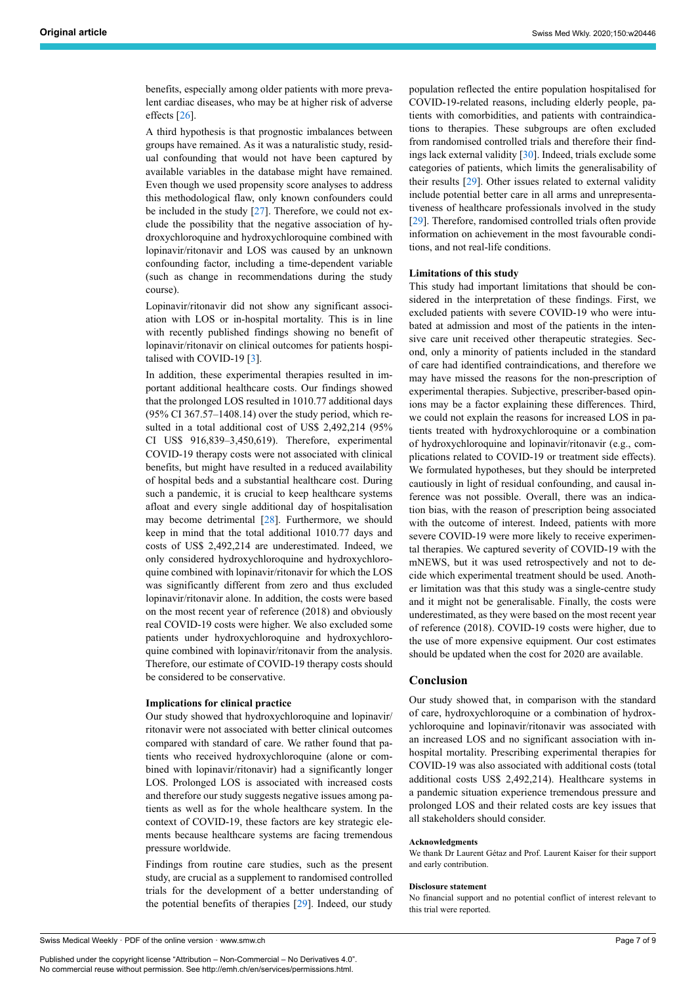benefits, especially among older patients with more prevalent cardiac diseases, who may be at higher risk of adverse effects [[26\]](#page-7-20).

A third hypothesis is that prognostic imbalances between groups have remained. As it was a naturalistic study, residual confounding that would not have been captured by available variables in the database might have remained. Even though we used propensity score analyses to address this methodological flaw, only known confounders could be included in the study [[27\]](#page-7-21). Therefore, we could not exclude the possibility that the negative association of hydroxychloroquine and hydroxychloroquine combined with lopinavir/ritonavir and LOS was caused by an unknown confounding factor, including a time-dependent variable (such as change in recommendations during the study course).

Lopinavir/ritonavir did not show any significant association with LOS or in-hospital mortality. This is in line with recently published findings showing no benefit of lopinavir/ritonavir on clinical outcomes for patients hospi-talised with COVID-19<sup>[\[3\]](#page-7-3)</sup>.

In addition, these experimental therapies resulted in important additional healthcare costs. Our findings showed that the prolonged LOS resulted in 1010.77 additional days (95% CI 367.57–1408.14) over the study period, which resulted in a total additional cost of US\$ 2,492,214 (95% CI US\$ 916,839–3,450,619). Therefore, experimental COVID-19 therapy costs were not associated with clinical benefits, but might have resulted in a reduced availability of hospital beds and a substantial healthcare cost. During such a pandemic, it is crucial to keep healthcare systems afloat and every single additional day of hospitalisation may become detrimental [\[28](#page-7-22)]. Furthermore, we should keep in mind that the total additional 1010.77 days and costs of US\$ 2,492,214 are underestimated. Indeed, we only considered hydroxychloroquine and hydroxychloroquine combined with lopinavir/ritonavir for which the LOS was significantly different from zero and thus excluded lopinavir/ritonavir alone. In addition, the costs were based on the most recent year of reference (2018) and obviously real COVID-19 costs were higher. We also excluded some patients under hydroxychloroquine and hydroxychloroquine combined with lopinavir/ritonavir from the analysis. Therefore, our estimate of COVID-19 therapy costs should be considered to be conservative.

#### **Implications for clinical practice**

Our study showed that hydroxychloroquine and lopinavir/ ritonavir were not associated with better clinical outcomes compared with standard of care. We rather found that patients who received hydroxychloroquine (alone or combined with lopinavir/ritonavir) had a significantly longer LOS. Prolonged LOS is associated with increased costs and therefore our study suggests negative issues among patients as well as for the whole healthcare system. In the context of COVID-19, these factors are key strategic elements because healthcare systems are facing tremendous pressure worldwide.

Findings from routine care studies, such as the present study, are crucial as a supplement to randomised controlled trials for the development of a better understanding of the potential benefits of therapies [\[29](#page-7-23)]. Indeed, our study population reflected the entire population hospitalised for COVID-19-related reasons, including elderly people, patients with comorbidities, and patients with contraindications to therapies. These subgroups are often excluded from randomised controlled trials and therefore their findings lack external validity [\[30](#page-7-24)]. Indeed, trials exclude some categories of patients, which limits the generalisability of their results [\[29](#page-7-23)]. Other issues related to external validity include potential better care in all arms and unrepresentativeness of healthcare professionals involved in the study [\[29](#page-7-23)]. Therefore, randomised controlled trials often provide information on achievement in the most favourable conditions, and not real-life conditions.

## **Limitations of this study**

This study had important limitations that should be considered in the interpretation of these findings. First, we excluded patients with severe COVID-19 who were intubated at admission and most of the patients in the intensive care unit received other therapeutic strategies. Second, only a minority of patients included in the standard of care had identified contraindications, and therefore we may have missed the reasons for the non-prescription of experimental therapies. Subjective, prescriber-based opinions may be a factor explaining these differences. Third, we could not explain the reasons for increased LOS in patients treated with hydroxychloroquine or a combination of hydroxychloroquine and lopinavir/ritonavir (e.g., complications related to COVID-19 or treatment side effects). We formulated hypotheses, but they should be interpreted cautiously in light of residual confounding, and causal inference was not possible. Overall, there was an indication bias, with the reason of prescription being associated with the outcome of interest. Indeed, patients with more severe COVID-19 were more likely to receive experimental therapies. We captured severity of COVID-19 with the mNEWS, but it was used retrospectively and not to decide which experimental treatment should be used. Another limitation was that this study was a single-centre study and it might not be generalisable. Finally, the costs were underestimated, as they were based on the most recent year of reference (2018). COVID-19 costs were higher, due to the use of more expensive equipment. Our cost estimates should be updated when the cost for 2020 are available.

# **Conclusion**

Our study showed that, in comparison with the standard of care, hydroxychloroquine or a combination of hydroxychloroquine and lopinavir/ritonavir was associated with an increased LOS and no significant association with inhospital mortality. Prescribing experimental therapies for COVID-19 was also associated with additional costs (total additional costs US\$ 2,492,214). Healthcare systems in a pandemic situation experience tremendous pressure and prolonged LOS and their related costs are key issues that all stakeholders should consider.

#### **Acknowledgments**

We thank Dr Laurent Gétaz and Prof. Laurent Kaiser for their support and early contribution.

#### **Disclosure statement**

No financial support and no potential conflict of interest relevant to this trial were reported.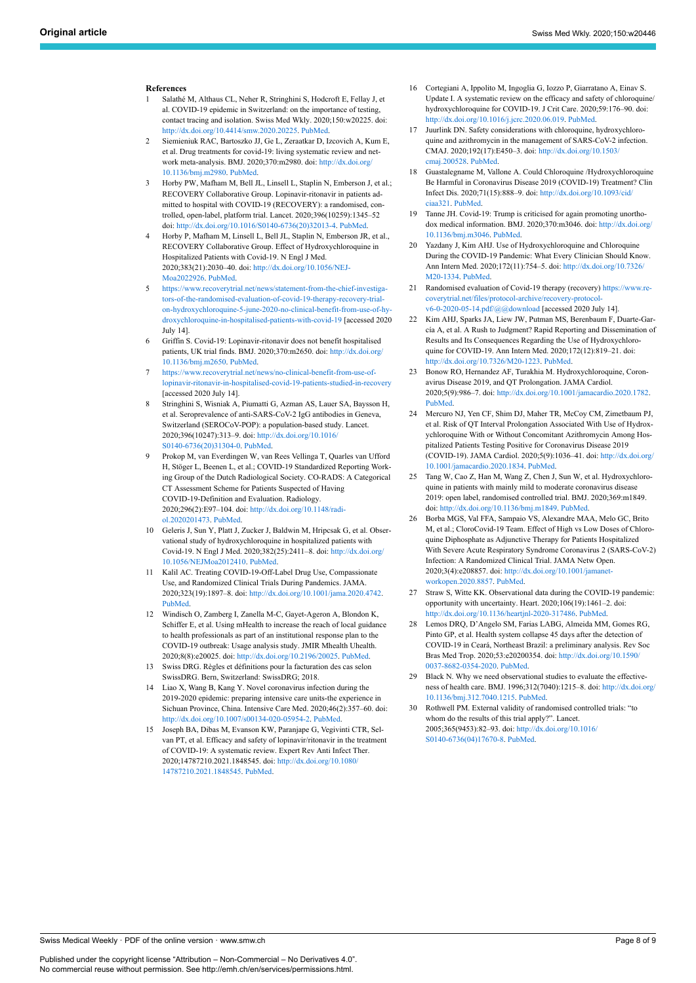#### <span id="page-7-13"></span><span id="page-7-0"></span>**References**

- 1 Salathé M, Althaus CL, Neher R, Stringhini S, Hodcroft E, Fellay J, et al. COVID-19 epidemic in Switzerland: on the importance of testing, contact tracing and isolation. Swiss Med Wkly. 2020;150:w20225. doi: <http://dx.doi.org/10.4414/smw.2020.20225>. [PubMed.](http://www.ncbi.nlm.nih.gov/entrez/query.fcgi?cmd=Retrieve&db=PubMed&list_uids=32191813&dopt=Abstract)
- <span id="page-7-14"></span><span id="page-7-1"></span>2 Siemieniuk RAC, Bartoszko JJ, Ge L, Zeraatkar D, Izcovich A, Kum E, et al. Drug treatments for covid-19: living systematic review and network meta-analysis. BMJ. 2020;370:m2980. doi: [http://dx.doi.org/](http://dx.doi.org/10.1136/bmj.m2980) [10.1136/bmj.m2980](http://dx.doi.org/10.1136/bmj.m2980). [PubMed.](http://www.ncbi.nlm.nih.gov/entrez/query.fcgi?cmd=Retrieve&db=PubMed&list_uids=32732190&dopt=Abstract)
- <span id="page-7-3"></span>3 Horby PW, Mafham M, Bell JL, Linsell L, Staplin N, Emberson J, et al.; RECOVERY Collaborative Group. Lopinavir-ritonavir in patients admitted to hospital with COVID-19 (RECOVERY): a randomised, controlled, open-label, platform trial. Lancet. 2020;396(10259):1345–52 doi: [http://dx.doi.org/10.1016/S0140-6736\(20\)32013-4](http://dx.doi.org/10.1016/S0140-6736(20)32013-4). [PubMed.](http://www.ncbi.nlm.nih.gov/entrez/query.fcgi?cmd=Retrieve&db=PubMed&list_uids=33031764&dopt=Abstract)
- <span id="page-7-15"></span><span id="page-7-2"></span>4 Horby P, Mafham M, Linsell L, Bell JL, Staplin N, Emberson JR, et al., RECOVERY Collaborative Group. Effect of Hydroxychloroquine in Hospitalized Patients with Covid-19. N Engl J Med. 2020;383(21):2030–40. doi: [http://dx.doi.org/10.1056/NEJ-](http://dx.doi.org/10.1056/NEJMoa2022926)[Moa2022926.](http://dx.doi.org/10.1056/NEJMoa2022926) [PubMed](http://www.ncbi.nlm.nih.gov/entrez/query.fcgi?cmd=Retrieve&db=PubMed&list_uids=33031652&dopt=Abstract).
- <span id="page-7-16"></span>5 [https://www.recoverytrial.net/news/statement-from-the-chief-investiga](https://www.recoverytrial.net/news/statement-from-the-chief-investigators-of-the-randomised-evaluation-of-covid-19-therapy-recovery-trial-on-hydroxychloroquine-5-june-2020-no-clinical-benefit-from-use-of-hydroxychloroquine-in-hospitalised-patients-with-covid-19)[tors-of-the-randomised-evaluation-of-covid-19-therapy-recovery-trial](https://www.recoverytrial.net/news/statement-from-the-chief-investigators-of-the-randomised-evaluation-of-covid-19-therapy-recovery-trial-on-hydroxychloroquine-5-june-2020-no-clinical-benefit-from-use-of-hydroxychloroquine-in-hospitalised-patients-with-covid-19)[on-hydroxychloroquine-5-june-2020-no-clinical-benefit-from-use-of-hy](https://www.recoverytrial.net/news/statement-from-the-chief-investigators-of-the-randomised-evaluation-of-covid-19-therapy-recovery-trial-on-hydroxychloroquine-5-june-2020-no-clinical-benefit-from-use-of-hydroxychloroquine-in-hospitalised-patients-with-covid-19)[droxychloroquine-in-hospitalised-patients-with-covid-19](https://www.recoverytrial.net/news/statement-from-the-chief-investigators-of-the-randomised-evaluation-of-covid-19-therapy-recovery-trial-on-hydroxychloroquine-5-june-2020-no-clinical-benefit-from-use-of-hydroxychloroquine-in-hospitalised-patients-with-covid-19) [accessed 2020 July 14].
- <span id="page-7-17"></span>6 Griffin S. Covid-19: Lopinavir-ritonavir does not benefit hospitalised patients, UK trial finds. BMJ. 2020;370:m2650. doi: [http://dx.doi.org/](http://dx.doi.org/10.1136/bmj.m2650) [10.1136/bmj.m2650](http://dx.doi.org/10.1136/bmj.m2650). [PubMed.](http://www.ncbi.nlm.nih.gov/entrez/query.fcgi?cmd=Retrieve&db=PubMed&list_uids=32611587&dopt=Abstract)
- <span id="page-7-18"></span><span id="page-7-4"></span>7 [https://www.recoverytrial.net/news/no-clinical-benefit-from-use-of](https://www.recoverytrial.net/news/no-clinical-benefit-from-use-of-lopinavir-ritonavir-in-hospitalised-covid-19-patients-studied-in-recovery)[lopinavir-ritonavir-in-hospitalised-covid-19-patients-studied-in-recovery](https://www.recoverytrial.net/news/no-clinical-benefit-from-use-of-lopinavir-ritonavir-in-hospitalised-covid-19-patients-studied-in-recovery) [accessed 2020 July 14].
- <span id="page-7-5"></span>8 Stringhini S, Wisniak A, Piumatti G, Azman AS, Lauer SA, Baysson H, et al. Seroprevalence of anti-SARS-CoV-2 IgG antibodies in Geneva, Switzerland (SEROCoV-POP): a population-based study. Lancet. 2020;396(10247):313–9. doi: [http://dx.doi.org/10.1016/](http://dx.doi.org/10.1016/S0140-6736(20)31304-0) [S0140-6736\(20\)31304-0.](http://dx.doi.org/10.1016/S0140-6736(20)31304-0) [PubMed.](http://www.ncbi.nlm.nih.gov/entrez/query.fcgi?cmd=Retrieve&db=PubMed&list_uids=32534626&dopt=Abstract)
- <span id="page-7-19"></span><span id="page-7-6"></span>9 Prokop M, van Everdingen W, van Rees Vellinga T, Quarles van Ufford H, Stöger L, Beenen L, et al.; COVID-19 Standardized Reporting Working Group of the Dutch Radiological Society. CO-RADS: A Categorical CT Assessment Scheme for Patients Suspected of Having COVID-19-Definition and Evaluation. Radiology. 2020;296(2):E97–104. doi: [http://dx.doi.org/10.1148/radi](http://dx.doi.org/10.1148/radiol.2020201473)[ol.2020201473.](http://dx.doi.org/10.1148/radiol.2020201473) [PubMed.](http://www.ncbi.nlm.nih.gov/entrez/query.fcgi?cmd=Retrieve&db=PubMed&list_uids=32339082&dopt=Abstract)
- <span id="page-7-20"></span><span id="page-7-7"></span>10 Geleris J, Sun Y, Platt J, Zucker J, Baldwin M, Hripcsak G, et al. Observational study of hydroxychloroquine in hospitalized patients with Covid-19. N Engl J Med. 2020;382(25):2411–8. doi: [http://dx.doi.org/](http://dx.doi.org/10.1056/NEJMoa2012410) [10.1056/NEJMoa2012410](http://dx.doi.org/10.1056/NEJMoa2012410). [PubMed.](http://www.ncbi.nlm.nih.gov/entrez/query.fcgi?cmd=Retrieve&db=PubMed&list_uids=32379955&dopt=Abstract)
- <span id="page-7-21"></span><span id="page-7-8"></span>11 Kalil AC. Treating COVID-19-Off-Label Drug Use, Compassionate Use, and Randomized Clinical Trials During Pandemics. JAMA. 2020;323(19):1897–8. doi: <http://dx.doi.org/10.1001/jama.2020.4742>. [PubMed.](http://www.ncbi.nlm.nih.gov/entrez/query.fcgi?cmd=Retrieve&db=PubMed&list_uids=32208486&dopt=Abstract)
- <span id="page-7-22"></span><span id="page-7-9"></span>12 Windisch O, Zamberg I, Zanella M-C, Gayet-Ageron A, Blondon K, Schiffer E, et al. Using mHealth to increase the reach of local guidance to health professionals as part of an institutional response plan to the COVID-19 outbreak: Usage analysis study. JMIR Mhealth Uhealth. 2020;8(8):e20025. doi: <http://dx.doi.org/10.2196/20025>. [PubMed](http://www.ncbi.nlm.nih.gov/entrez/query.fcgi?cmd=Retrieve&db=PubMed&list_uids=32749996&dopt=Abstract).
- <span id="page-7-23"></span><span id="page-7-10"></span>13 Swiss DRG. Règles et définitions pour la facturation des cas selon SwissDRG. Bern, Switzerland: SwissDRG; 2018.
- <span id="page-7-11"></span>Liao X, Wang B, Kang Y. Novel coronavirus infection during the 2019-2020 epidemic: preparing intensive care units-the experience in Sichuan Province, China. Intensive Care Med. 2020;46(2):357–60. doi: [http://dx.doi.org/10.1007/s00134-020-05954-2.](http://dx.doi.org/10.1007/s00134-020-05954-2) [PubMed](http://www.ncbi.nlm.nih.gov/entrez/query.fcgi?cmd=Retrieve&db=PubMed&list_uids=32025779&dopt=Abstract).
- <span id="page-7-24"></span><span id="page-7-12"></span>15 Joseph BA, Dibas M, Evanson KW, Paranjape G, Vegivinti CTR, Selvan PT, et al. Efficacy and safety of lopinavir/ritonavir in the treatment of COVID-19: A systematic review. Expert Rev Anti Infect Ther. 2020;14787210.2021.1848545. doi: [http://dx.doi.org/10.1080/](http://dx.doi.org/10.1080/14787210.2021.1848545) [14787210.2021.1848545](http://dx.doi.org/10.1080/14787210.2021.1848545). [PubMed.](http://www.ncbi.nlm.nih.gov/entrez/query.fcgi?cmd=Retrieve&db=PubMed&list_uids=33187459&dopt=Abstract)
- 16 Cortegiani A, Ippolito M, Ingoglia G, Iozzo P, Giarratano A, Einav S. Update I. A systematic review on the efficacy and safety of chloroquine/ hydroxychloroquine for COVID-19. J Crit Care. 2020;59:176–90. doi: [http://dx.doi.org/10.1016/j.jcrc.2020.06.019.](http://dx.doi.org/10.1016/j.jcrc.2020.06.019) [PubMed](http://www.ncbi.nlm.nih.gov/entrez/query.fcgi?cmd=Retrieve&db=PubMed&list_uids=32683212&dopt=Abstract).
- 17 Juurlink DN. Safety considerations with chloroquine, hydroxychloroquine and azithromycin in the management of SARS-CoV-2 infection. CMAJ. 2020;192(17):E450–3. doi: [http://dx.doi.org/10.1503/](http://dx.doi.org/10.1503/cmaj.200528) [cmaj.200528](http://dx.doi.org/10.1503/cmaj.200528). [PubMed.](http://www.ncbi.nlm.nih.gov/entrez/query.fcgi?cmd=Retrieve&db=PubMed&list_uids=32269021&dopt=Abstract)
- 18 Guastalegname M, Vallone A. Could Chloroquine /Hydroxychloroquine Be Harmful in Coronavirus Disease 2019 (COVID-19) Treatment? Clin Infect Dis. 2020;71(15):888–9. doi: [http://dx.doi.org/10.1093/cid/](http://dx.doi.org/10.1093/cid/ciaa321) [ciaa321](http://dx.doi.org/10.1093/cid/ciaa321). [PubMed](http://www.ncbi.nlm.nih.gov/entrez/query.fcgi?cmd=Retrieve&db=PubMed&list_uids=32211771&dopt=Abstract).
- 19 Tanne JH. Covid-19: Trump is criticised for again promoting unorthodox medical information. BMJ. 2020;370:m3046. doi: [http://dx.doi.org/](http://dx.doi.org/10.1136/bmj.m3046) [10.1136/bmj.m3046.](http://dx.doi.org/10.1136/bmj.m3046) [PubMed](http://www.ncbi.nlm.nih.gov/entrez/query.fcgi?cmd=Retrieve&db=PubMed&list_uids=32732320&dopt=Abstract).
- 20 Yazdany J, Kim AHJ. Use of Hydroxychloroquine and Chloroquine During the COVID-19 Pandemic: What Every Clinician Should Know. Ann Intern Med. 2020;172(11):754–5. doi: [http://dx.doi.org/10.7326/](http://dx.doi.org/10.7326/M20-1334) [M20-1334.](http://dx.doi.org/10.7326/M20-1334) [PubMed](http://www.ncbi.nlm.nih.gov/entrez/query.fcgi?cmd=Retrieve&db=PubMed&list_uids=32232419&dopt=Abstract).
- 21 Randomised evaluation of Covid-19 therapy (recovery) [https://www.re](https://www.recoverytrial.net/files/protocol-archive/recovery-protocol-v6-0-2020-05-14.pdf/@@download)[coverytrial.net/files/protocol-archive/recovery-protocol](https://www.recoverytrial.net/files/protocol-archive/recovery-protocol-v6-0-2020-05-14.pdf/@@download)[v6-0-2020-05-14.pdf/@@download](https://www.recoverytrial.net/files/protocol-archive/recovery-protocol-v6-0-2020-05-14.pdf/@@download) [accessed 2020 July 14].
- 22 Kim AHJ, Sparks JA, Liew JW, Putman MS, Berenbaum F, Duarte-García A, et al. A Rush to Judgment? Rapid Reporting and Dissemination of Results and Its Consequences Regarding the Use of Hydroxychloroquine for COVID-19. Ann Intern Med. 2020;172(12):819–21. doi: <http://dx.doi.org/10.7326/M20-1223>. [PubMed](http://www.ncbi.nlm.nih.gov/entrez/query.fcgi?cmd=Retrieve&db=PubMed&list_uids=32227189&dopt=Abstract).
- 23 Bonow RO, Hernandez AF, Turakhia M. Hydroxychloroquine, Coronavirus Disease 2019, and QT Prolongation. JAMA Cardiol. 2020;5(9):986–7. doi: [http://dx.doi.org/10.1001/jamacardio.2020.1782.](http://dx.doi.org/10.1001/jamacardio.2020.1782) [PubMed](http://www.ncbi.nlm.nih.gov/entrez/query.fcgi?cmd=Retrieve&db=PubMed&list_uids=32936259&dopt=Abstract).
- 24 Mercuro NJ, Yen CF, Shim DJ, Maher TR, McCoy CM, Zimetbaum PJ, et al. Risk of QT Interval Prolongation Associated With Use of Hydroxychloroquine With or Without Concomitant Azithromycin Among Hospitalized Patients Testing Positive for Coronavirus Disease 2019 (COVID-19). JAMA Cardiol. 2020;5(9):1036–41. doi: [http://dx.doi.org/](http://dx.doi.org/10.1001/jamacardio.2020.1834) [10.1001/jamacardio.2020.1834](http://dx.doi.org/10.1001/jamacardio.2020.1834). [PubMed.](http://www.ncbi.nlm.nih.gov/entrez/query.fcgi?cmd=Retrieve&db=PubMed&list_uids=32936252&dopt=Abstract)
- 25 Tang W, Cao Z, Han M, Wang Z, Chen J, Sun W, et al. Hydroxychloroquine in patients with mainly mild to moderate coronavirus diseas 2019: open label, randomised controlled trial. BMJ. 2020;369:m1849. doi: [http://dx.doi.org/10.1136/bmj.m1849.](http://dx.doi.org/10.1136/bmj.m1849) [PubMed.](http://www.ncbi.nlm.nih.gov/entrez/query.fcgi?cmd=Retrieve&db=PubMed&list_uids=32409561&dopt=Abstract)
- 26 Borba MGS, Val FFA, Sampaio VS, Alexandre MAA, Melo GC, Brito M, et al.; CloroCovid-19 Team. Effect of High vs Low Doses of Chloroquine Diphosphate as Adjunctive Therapy for Patients Hospitalized With Severe Acute Respiratory Syndrome Coronavirus 2 (SARS-CoV-2) Infection: A Randomized Clinical Trial. JAMA Netw Open. 2020;3(4):e208857. doi: [http://dx.doi.org/10.1001/jamanet](http://dx.doi.org/10.1001/jamanetworkopen.2020.8857)[workopen.2020.8857.](http://dx.doi.org/10.1001/jamanetworkopen.2020.8857) [PubMed.](http://www.ncbi.nlm.nih.gov/entrez/query.fcgi?cmd=Retrieve&db=PubMed&list_uids=32330277&dopt=Abstract)
- 27 Straw S, Witte KK. Observational data during the COVID-19 pandemic: opportunity with uncertainty. Heart. 2020;106(19):1461–2. doi: <http://dx.doi.org/10.1136/heartjnl-2020-317486>. [PubMed.](http://www.ncbi.nlm.nih.gov/entrez/query.fcgi?cmd=Retrieve&db=PubMed&list_uids=32759292&dopt=Abstract)
- 28 Lemos DRQ, D'Angelo SM, Farias LABG, Almeida MM, Gomes RG, Pinto GP, et al. Health system collapse 45 days after the detection of COVID-19 in Ceará, Northeast Brazil: a preliminary analysis. Rev Soc Bras Med Trop. 2020;53:e20200354. doi: [http://dx.doi.org/10.1590/](http://dx.doi.org/10.1590/0037-8682-0354-2020) [0037-8682-0354-2020.](http://dx.doi.org/10.1590/0037-8682-0354-2020) [PubMed](http://www.ncbi.nlm.nih.gov/entrez/query.fcgi?cmd=Retrieve&db=PubMed&list_uids=32638888&dopt=Abstract).
- 29 Black N. Why we need observational studies to evaluate the effectiveness of health care. BMJ. 1996;312(7040):1215–8. doi: [http://dx.doi.org/](http://dx.doi.org/10.1136/bmj.312.7040.1215) [10.1136/bmj.312.7040.1215.](http://dx.doi.org/10.1136/bmj.312.7040.1215) [PubMed.](http://www.ncbi.nlm.nih.gov/entrez/query.fcgi?cmd=Retrieve&db=PubMed&list_uids=8634569&dopt=Abstract)
- 30 Rothwell PM. External validity of randomised controlled trials: "to whom do the results of this trial apply?". Lancet. 2005;365(9453):82–93. doi: [http://dx.doi.org/10.1016/](http://dx.doi.org/10.1016/S0140-6736(04)17670-8) [S0140-6736\(04\)17670-8.](http://dx.doi.org/10.1016/S0140-6736(04)17670-8) [PubMed](http://www.ncbi.nlm.nih.gov/entrez/query.fcgi?cmd=Retrieve&db=PubMed&list_uids=15639683&dopt=Abstract).